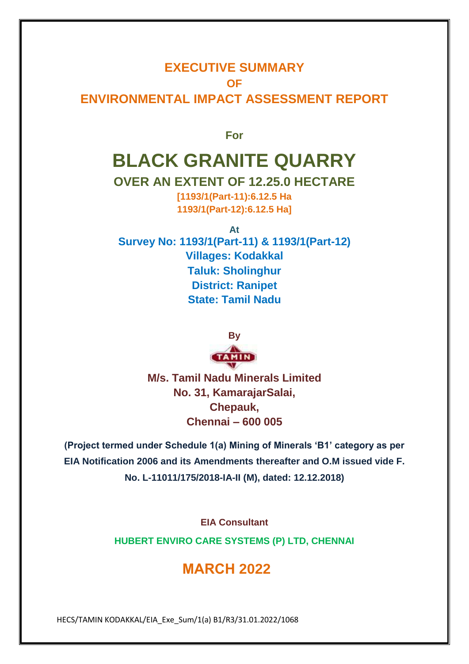## **EXECUTIVE SUMMARY OF ENVIRONMENTAL IMPACT ASSESSMENT REPORT**

**For**

# **BLACK GRANITE QUARRY**

### **OVER AN EXTENT OF 12.25.0 HECTARE**

**[1193/1(Part-11):6.12.5 Ha 1193/1(Part-12):6.12.5 Ha]**

**At**

**Survey No: 1193/1(Part-11) & 1193/1(Part-12) Villages: Kodakkal Taluk: Sholinghur District: Ranipet State: Tamil Nadu**



**M/s. Tamil Nadu Minerals Limited No. 31, KamarajarSalai, Chepauk, Chennai – 600 005**

**(Project termed under Schedule 1(a) Mining of Minerals 'B1' category as per EIA Notification 2006 and its Amendments thereafter and O.M issued vide F. No. L-11011/175/2018-IA-II (M), dated: 12.12.2018)**

**EIA Consultant**

**HUBERT ENVIRO CARE SYSTEMS (P) LTD, CHENNAI**

# **MARCH 2022**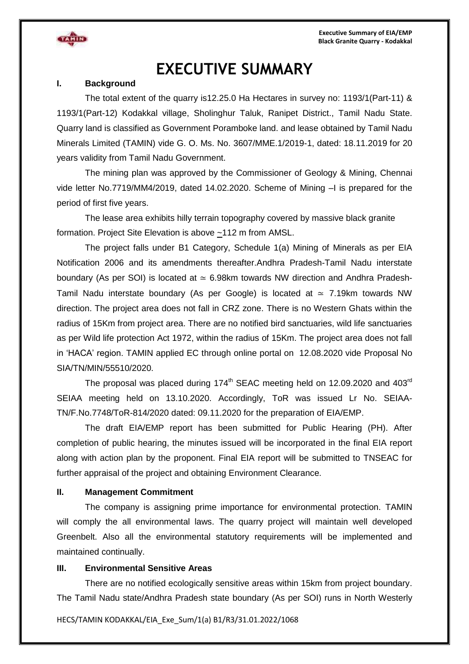**Executive Summary of EIA/EMP Black Granite Quarry - Kodakkal**



# **EXECUTIVE SUMMARY**

#### **I. Background**

The total extent of the quarry is12.25.0 Ha Hectares in survey no: 1193/1(Part-11) & 1193/1(Part-12) Kodakkal village, Sholinghur Taluk, Ranipet District., Tamil Nadu State. Quarry land is classified as Government Poramboke land. and lease obtained by Tamil Nadu Minerals Limited (TAMIN) vide G. O. Ms. No. 3607/MME.1/2019-1, dated: 18.11.2019 for 20 years validity from Tamil Nadu Government.

The mining plan was approved by the Commissioner of Geology & Mining, Chennai vide letter No.7719/MM4/2019, dated 14.02.2020. Scheme of Mining –I is prepared for the period of first five years.

The lease area exhibits hilly terrain topography covered by massive black granite formation. Project Site Elevation is above ~112 m from AMSL.

The project falls under B1 Category, Schedule 1(a) Mining of Minerals as per EIA Notification 2006 and its amendments thereafter.Andhra Pradesh-Tamil Nadu interstate boundary (As per SOI) is located at  $\simeq$  6.98km towards NW direction and Andhra Pradesh-Tamil Nadu interstate boundary (As per Google) is located at  $\simeq 7.19$ km towards NW direction. The project area does not fall in CRZ zone. There is no Western Ghats within the radius of 15Km from project area. There are no notified bird sanctuaries, wild life sanctuaries as per Wild life protection Act 1972, within the radius of 15Km. The project area does not fall in 'HACA' region. TAMIN applied EC through online portal on 12.08.2020 vide Proposal No SIA/TN/MIN/55510/2020.

The proposal was placed during 174<sup>th</sup> SEAC meeting held on 12.09.2020 and 403<sup>rd</sup> SEIAA meeting held on 13.10.2020. Accordingly, ToR was issued Lr No. SEIAA-TN/F.No.7748/ToR-814/2020 dated: 09.11.2020 for the preparation of EIA/EMP.

The draft EIA/EMP report has been submitted for Public Hearing (PH). After completion of public hearing, the minutes issued will be incorporated in the final EIA report along with action plan by the proponent. Final EIA report will be submitted to TNSEAC for further appraisal of the project and obtaining Environment Clearance.

#### **II. Management Commitment**

The company is assigning prime importance for environmental protection. TAMIN will comply the all environmental laws. The quarry project will maintain well developed Greenbelt. Also all the environmental statutory requirements will be implemented and maintained continually.

#### **III. Environmental Sensitive Areas**

There are no notified ecologically sensitive areas within 15km from project boundary. The Tamil Nadu state/Andhra Pradesh state boundary (As per SOI) runs in North Westerly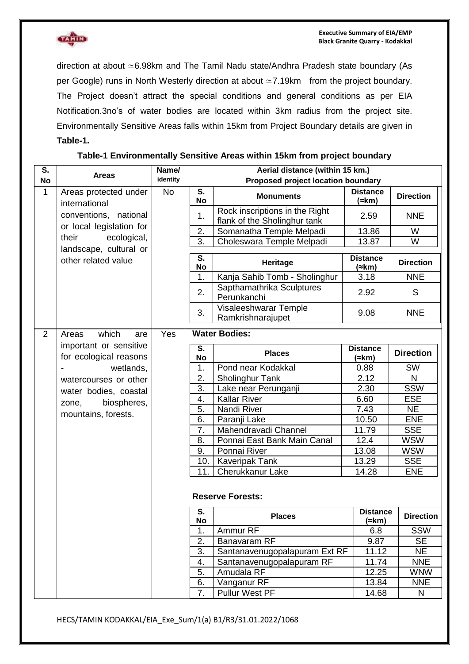

direction at about ≃6.98km and The Tamil Nadu state/Andhra Pradesh state boundary (As per Google) runs in North Westerly direction at about ≃7.19km from the project boundary. The Project doesn't attract the special conditions and general conditions as per EIA Notification.3no's of water bodies are located within 3km radius from the project site. Environmentally Sensitive Areas falls within 15km from Project Boundary details are given in **Table-1.**

| $\overline{\mathsf{s}}$ . | <b>Areas</b>                                     | Name/     | Aerial distance (within 15 km.) |                                                                |                                   |                  |
|---------------------------|--------------------------------------------------|-----------|---------------------------------|----------------------------------------------------------------|-----------------------------------|------------------|
| <b>No</b>                 |                                                  | identity  |                                 | Proposed project location boundary                             |                                   |                  |
| $\mathbf{1}$              | Areas protected under<br>international           | <b>No</b> | S.<br><b>No</b>                 | <b>Monuments</b>                                               | <b>Distance</b><br>$(\approx km)$ | <b>Direction</b> |
|                           | conventions, national                            |           | 1.                              | Rock inscriptions in the Right<br>flank of the Sholinghur tank | 2.59                              | <b>NNE</b>       |
|                           | or local legislation for                         |           | 2.                              | Somanatha Temple Melpadi                                       | 13.86                             | W                |
|                           | ecological,<br>their<br>landscape, cultural or   |           | $\overline{3}$ .                | Choleswara Temple Melpadi                                      | 13.87                             | W                |
|                           | other related value                              |           | S.<br><b>No</b>                 | Heritage                                                       | <b>Distance</b><br>$(\approx km)$ | <b>Direction</b> |
|                           |                                                  |           | 1.                              | Kanja Sahib Tomb - Sholinghur                                  | 3.18                              | <b>NNE</b>       |
|                           |                                                  |           | 2.                              | Sapthamathrika Sculptures<br>Perunkanchi                       | 2.92                              | S                |
|                           |                                                  |           | 3.                              | Visaleeshwarar Temple<br>Ramkrishnarajupet                     | 9.08                              | <b>NNE</b>       |
| $\overline{2}$            | which<br>Areas<br>are                            | Yes       |                                 | <b>Water Bodies:</b>                                           |                                   |                  |
|                           | important or sensitive<br>for ecological reasons |           | S.<br><b>No</b>                 | <b>Places</b>                                                  | <b>Distance</b><br>(≈km)          | <b>Direction</b> |
|                           | wetlands,                                        |           | 1.                              | Pond near Kodakkal                                             | 0.88                              | SW               |
|                           | watercourses or other                            |           | 2.                              | Sholinghur Tank                                                | 2.12                              | N                |
|                           | water bodies, coastal                            |           | 3.                              | Lake near Perunganji                                           | 2.30                              | <b>SSW</b>       |
|                           | biospheres,<br>zone,                             |           | 4.                              | <b>Kallar River</b>                                            | 6.60                              | <b>ESE</b>       |
|                           | mountains, forests.                              |           | 5.                              | Nandi River                                                    | 7.43                              | <b>NE</b>        |
|                           |                                                  |           | 6.                              | Paranji Lake                                                   | 10.50                             | <b>ENE</b>       |
|                           |                                                  |           | 7.                              | Mahendravadi Channel                                           | 11.79                             | <b>SSE</b>       |
|                           |                                                  |           | 8.                              | Ponnai East Bank Main Canal                                    | 12.4                              | <b>WSW</b>       |
|                           |                                                  |           | 9.                              | Ponnai River                                                   | 13.08                             | <b>WSW</b>       |
|                           |                                                  |           | 10.                             | <b>Kaveripak Tank</b>                                          | 13.29                             | <b>SSE</b>       |
|                           |                                                  |           | 11.                             | Cherukkanur Lake                                               | 14.28                             | <b>ENE</b>       |
|                           |                                                  |           |                                 | <b>Reserve Forests:</b>                                        |                                   |                  |
|                           |                                                  |           | S.<br><b>No</b>                 | <b>Places</b>                                                  | <b>Distance</b><br>(≈km)          | <b>Direction</b> |
|                           |                                                  |           | 1.                              | Ammur <sub>RF</sub>                                            | 6.8                               | <b>SSW</b>       |
|                           |                                                  |           | 2.                              | Banavaram RF                                                   | 9.87                              | <b>SE</b>        |
|                           |                                                  |           | $\overline{3}$ .                | Santanavenugopalapuram Ext RF                                  | 11.12                             | <b>NE</b>        |
|                           |                                                  |           | 4.                              | Santanavenugopalapuram RF                                      | 11.74                             | <b>NNE</b>       |
|                           |                                                  |           | 5.                              | Amudala RF                                                     | 12.25                             | <b>WNW</b>       |
|                           |                                                  |           | 6.                              | Vanganur RF                                                    | 13.84                             | <b>NNE</b>       |
|                           |                                                  |           | 7.                              | Pullur West PF                                                 | 14.68                             | N                |

#### **Table-1 Environmentally Sensitive Areas within 15km from project boundary**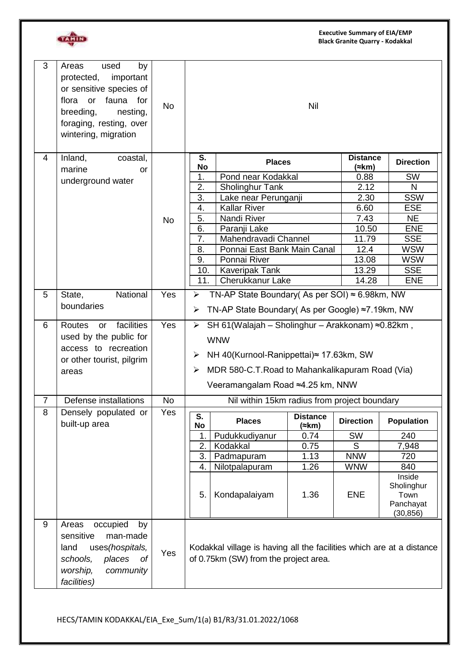

| 3              | by<br>Areas<br>used<br>important<br>protected,<br>or sensitive species of<br>flora or fauna for<br>breeding,<br>nesting,<br>foraging, resting, over<br>wintering, migration | <b>No</b> |                                                                                                                                                                                                                         |                                                                                                                                                                                                                    | Nil                                  |                                                                                                     |                                                                                                                                     |
|----------------|-----------------------------------------------------------------------------------------------------------------------------------------------------------------------------|-----------|-------------------------------------------------------------------------------------------------------------------------------------------------------------------------------------------------------------------------|--------------------------------------------------------------------------------------------------------------------------------------------------------------------------------------------------------------------|--------------------------------------|-----------------------------------------------------------------------------------------------------|-------------------------------------------------------------------------------------------------------------------------------------|
| 4              | Inland,<br>coastal,<br>marine<br>or<br>underground water                                                                                                                    | <b>No</b> | S.<br><b>No</b><br>1.<br>2.<br>3.<br>4.<br>5.<br>6.<br>7.<br>8.<br>9.                                                                                                                                                   | <b>Places</b><br>Pond near Kodakkal<br><b>Sholinghur Tank</b><br>Lake near Perunganji<br><b>Kallar River</b><br>Nandi River<br>Paranji Lake<br>Mahendravadi Channel<br>Ponnai East Bank Main Canal<br>Ponnai River |                                      | <b>Distance</b><br>(≈km)<br>0.88<br>2.12<br>2.30<br>6.60<br>7.43<br>10.50<br>11.79<br>12.4<br>13.08 | <b>Direction</b><br><b>SW</b><br>N<br><b>SSW</b><br><b>ESE</b><br><b>NE</b><br><b>ENE</b><br><b>SSE</b><br><b>WSW</b><br><b>WSW</b> |
|                |                                                                                                                                                                             |           | 10.<br>11.                                                                                                                                                                                                              | <b>Kaveripak Tank</b><br>Cherukkanur Lake                                                                                                                                                                          |                                      | 13.29<br>14.28                                                                                      | <b>SSE</b><br><b>ENE</b>                                                                                                            |
| 5              | National<br>State,<br>boundaries                                                                                                                                            | Yes       | ➤<br>➤                                                                                                                                                                                                                  | TN-AP State Boundary (As per SOI) $\approx$ 6.98km, NW<br>TN-AP State Boundary( As per Google) ≈7.19km, NW                                                                                                         |                                      |                                                                                                     |                                                                                                                                     |
| 6              | facilities<br>Routes<br>or<br>used by the public for<br>access to recreation<br>or other tourist, pilgrim<br>areas                                                          |           | SH 61(Walajah – Sholinghur – Arakkonam) ≈0.82km,<br>Yes<br>➤<br><b>WNW</b><br>NH 40(Kurnool-Ranippettai)≈ 17.63km, SW<br>➤<br>MDR 580-C.T. Road to Mahankalikapuram Road (Via)<br>➤<br>Veeramangalam Road ≈4.25 km, NNW |                                                                                                                                                                                                                    |                                      |                                                                                                     |                                                                                                                                     |
| $\overline{7}$ | Defense installations                                                                                                                                                       | <b>No</b> |                                                                                                                                                                                                                         | Nil within 15km radius from project boundary                                                                                                                                                                       |                                      |                                                                                                     |                                                                                                                                     |
| 8              | Densely populated or<br>built-up area                                                                                                                                       | Yes       | S.<br>No                                                                                                                                                                                                                | <b>Places</b>                                                                                                                                                                                                      | <b>Distance</b><br>(≈km)             | <b>Direction</b>                                                                                    | <b>Population</b>                                                                                                                   |
|                |                                                                                                                                                                             |           | 1.<br>2.<br>3.<br>4.<br>5.                                                                                                                                                                                              | Pudukkudiyanur<br>Kodakkal<br>Padmapuram<br>Nilotpalapuram<br>Kondapalaiyam                                                                                                                                        | 0.74<br>0.75<br>1.13<br>1.26<br>1.36 | <b>SW</b><br>S<br><b>NNW</b><br><b>WNW</b><br><b>ENE</b>                                            | 240<br>7,948<br>720<br>840<br>Inside<br>Sholinghur<br>Town<br>Panchayat<br>(30, 856)                                                |
| 9              | occupied<br>Areas<br>by<br>sensitive<br>man-made<br>uses(hospitals,<br>land<br>schools,<br>places<br>Оf<br>worship,<br>community<br>facilities)                             | Yes       |                                                                                                                                                                                                                         | Kodakkal village is having all the facilities which are at a distance<br>of 0.75km (SW) from the project area.                                                                                                     |                                      |                                                                                                     |                                                                                                                                     |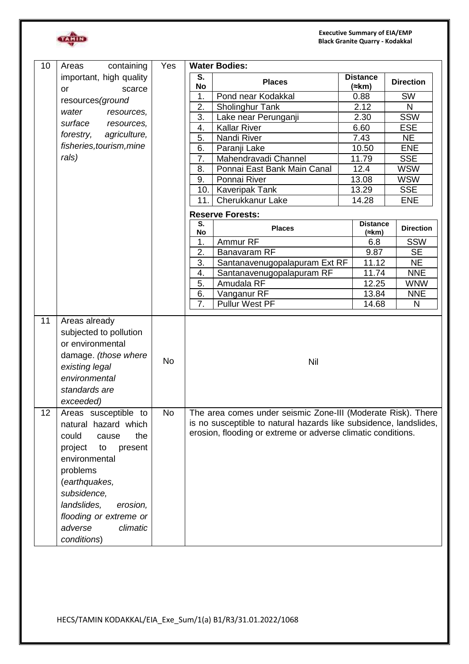**Executive Summary of EIA/EMP Black Granite Quarry - Kodakkal**



| 10 | Areas<br>containing                                                                                                                                                                                                                                       | <b>Water Bodies:</b><br>Yes |                                                                                                                                                                                                   |                               |                                   |                          |                  |
|----|-----------------------------------------------------------------------------------------------------------------------------------------------------------------------------------------------------------------------------------------------------------|-----------------------------|---------------------------------------------------------------------------------------------------------------------------------------------------------------------------------------------------|-------------------------------|-----------------------------------|--------------------------|------------------|
|    | important, high quality<br>or<br>scarce                                                                                                                                                                                                                   |                             | S.<br>No                                                                                                                                                                                          | <b>Places</b>                 | <b>Distance</b><br>$(\approx km)$ |                          | <b>Direction</b> |
|    | resources (ground                                                                                                                                                                                                                                         |                             | 1.                                                                                                                                                                                                | Pond near Kodakkal            | 0.88                              |                          | SW               |
|    |                                                                                                                                                                                                                                                           |                             | 2.                                                                                                                                                                                                | Sholinghur Tank               | 2.12                              |                          | N                |
|    | water<br>resources,                                                                                                                                                                                                                                       |                             | $\overline{3}$ .                                                                                                                                                                                  | Lake near Perunganji          | 2.30                              |                          | <b>SSW</b>       |
|    | surface<br>resources,                                                                                                                                                                                                                                     |                             | 4.                                                                                                                                                                                                | <b>Kallar River</b>           | 6.60                              |                          | <b>ESE</b>       |
|    | forestry,<br>agriculture,                                                                                                                                                                                                                                 |                             | 5.                                                                                                                                                                                                | Nandi River                   | 7.43                              |                          | <b>NE</b>        |
|    | fisheries, tourism, mine                                                                                                                                                                                                                                  |                             | 6.                                                                                                                                                                                                | Paranji Lake                  | 10.50                             |                          | <b>ENE</b>       |
|    | rals)                                                                                                                                                                                                                                                     |                             | 7.                                                                                                                                                                                                | Mahendravadi Channel          | 11.79                             |                          | <b>SSE</b>       |
|    |                                                                                                                                                                                                                                                           |                             | 8.                                                                                                                                                                                                | Ponnai East Bank Main Canal   | 12.4                              |                          | <b>WSW</b>       |
|    |                                                                                                                                                                                                                                                           |                             | 9.                                                                                                                                                                                                | Ponnai River                  | 13.08                             |                          | <b>WSW</b>       |
|    |                                                                                                                                                                                                                                                           |                             | 10.                                                                                                                                                                                               | <b>Kaveripak Tank</b>         | 13.29                             |                          | <b>SSE</b>       |
|    |                                                                                                                                                                                                                                                           |                             | 11.                                                                                                                                                                                               | Cherukkanur Lake              | 14.28                             |                          | <b>ENE</b>       |
|    |                                                                                                                                                                                                                                                           |                             |                                                                                                                                                                                                   | <b>Reserve Forests:</b>       |                                   |                          |                  |
|    |                                                                                                                                                                                                                                                           |                             | S.<br>No                                                                                                                                                                                          | <b>Places</b>                 |                                   | <b>Distance</b><br>(≈km) | <b>Direction</b> |
|    |                                                                                                                                                                                                                                                           |                             | 1.                                                                                                                                                                                                | Ammur <sub>RF</sub>           |                                   | 6.8                      | <b>SSW</b>       |
|    |                                                                                                                                                                                                                                                           |                             | 2.                                                                                                                                                                                                | Banavaram RF                  |                                   | 9.87                     | <b>SE</b>        |
|    |                                                                                                                                                                                                                                                           |                             | 3.                                                                                                                                                                                                | Santanavenugopalapuram Ext RF |                                   | 11.12                    | <b>NE</b>        |
|    |                                                                                                                                                                                                                                                           |                             | 4.                                                                                                                                                                                                | Santanavenugopalapuram RF     |                                   | 11.74                    | <b>NNE</b>       |
|    |                                                                                                                                                                                                                                                           |                             | 5.                                                                                                                                                                                                | Amudala RF                    |                                   | 12.25                    | <b>WNW</b>       |
|    |                                                                                                                                                                                                                                                           |                             | 6.                                                                                                                                                                                                | Vanganur RF                   |                                   | 13.84                    | <b>NNE</b>       |
|    |                                                                                                                                                                                                                                                           |                             | 7.                                                                                                                                                                                                | Pullur West PF                |                                   | 14.68                    | N                |
| 11 | Areas already<br>subjected to pollution<br>or environmental<br>damage. (those where<br>existing legal<br>environmental<br>standards are<br>exceeded)                                                                                                      | <b>No</b>                   |                                                                                                                                                                                                   | Nil                           |                                   |                          |                  |
| 12 | Areas susceptible to<br>natural hazard which<br>could<br>the<br>cause<br>project<br>to<br>present<br>environmental<br>problems<br>(earthquakes,<br>subsidence,<br>landslides,<br>erosion,<br>flooding or extreme or<br>adverse<br>climatic<br>conditions) | <b>No</b>                   | The area comes under seismic Zone-III (Moderate Risk). There<br>is no susceptible to natural hazards like subsidence, landslides,<br>erosion, flooding or extreme or adverse climatic conditions. |                               |                                   |                          |                  |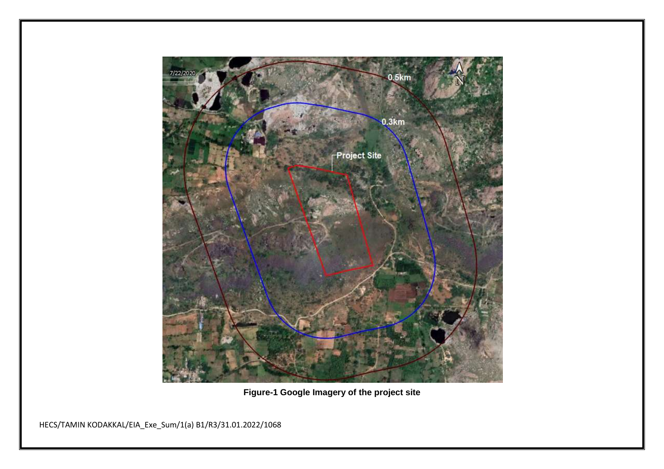

**Figure-1 Google Imagery of the project site**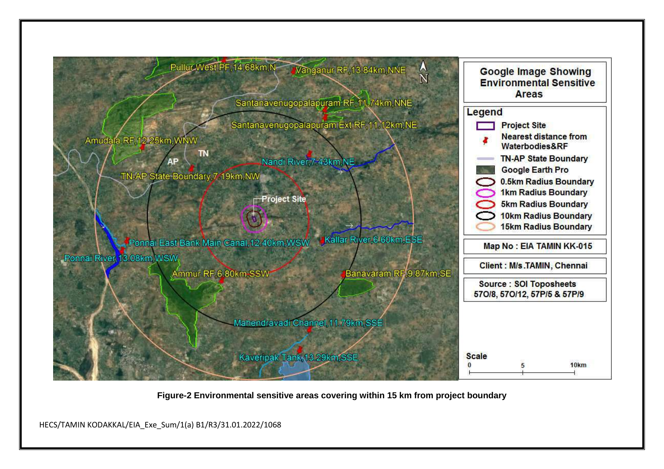

**Figure-2 Environmental sensitive areas covering within 15 km from project boundary**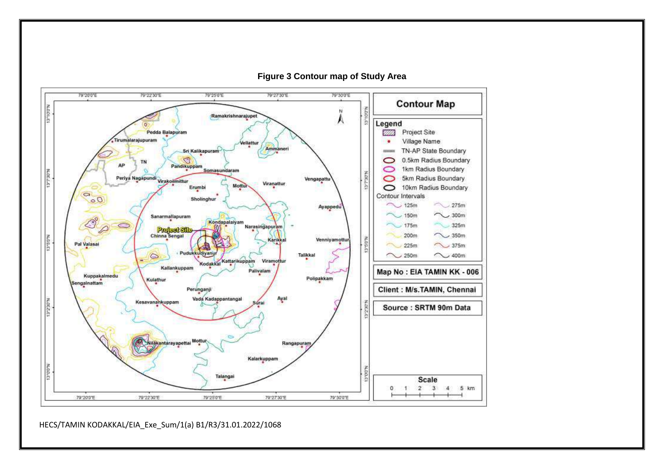

**Figure 3 Contour map of Study Area**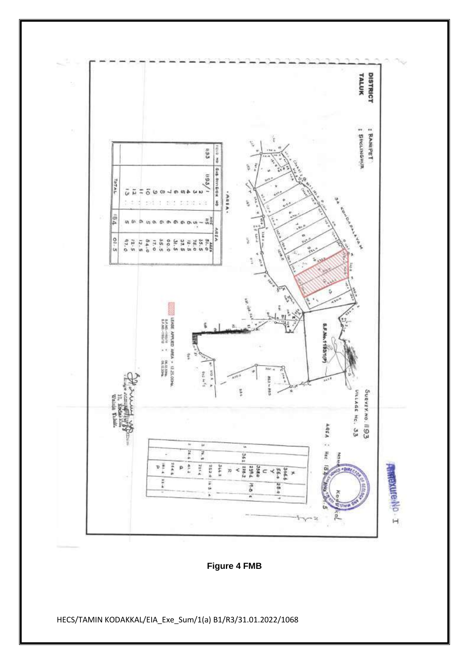

**Figure 4 FMB**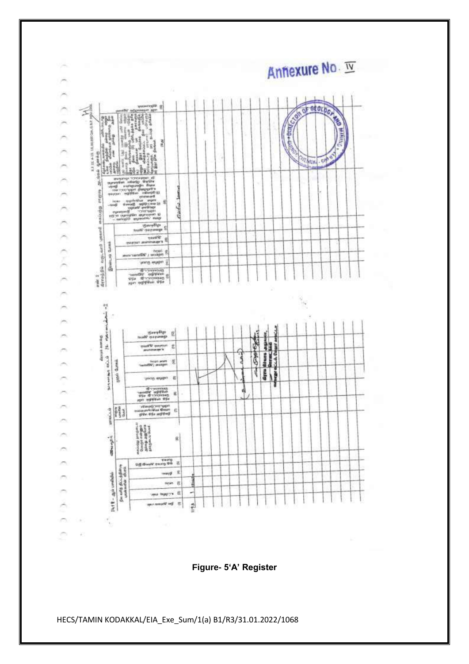

**Figure- 5'A' Register**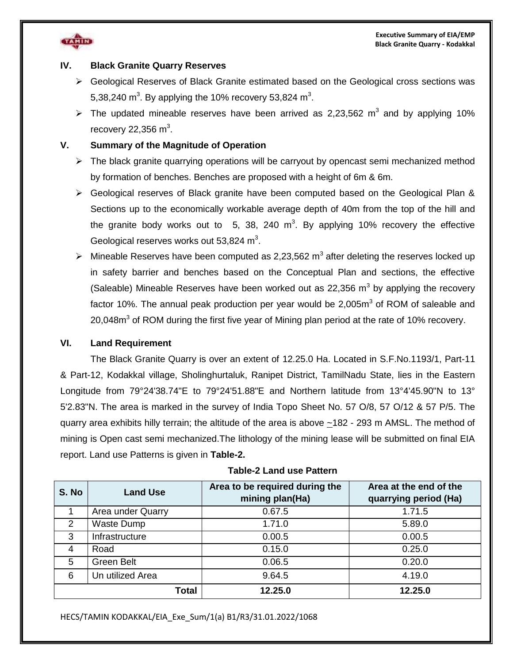

#### **IV. Black Granite Quarry Reserves**

- $\triangleright$  Geological Reserves of Black Granite estimated based on the Geological cross sections was 5,38,240 m<sup>3</sup>. By applying the 10% recovery 53,824 m<sup>3</sup>.
- $\triangleright$  The updated mineable reserves have been arrived as 2,23,562 m<sup>3</sup> and by applying 10% recovery 22,356 m<sup>3</sup>.

#### **V. Summary of the Magnitude of Operation**

- $\triangleright$  The black granite quarrying operations will be carryout by opencast semi mechanized method by formation of benches. Benches are proposed with a height of 6m & 6m.
- $\triangleright$  Geological reserves of Black granite have been computed based on the Geological Plan & Sections up to the economically workable average depth of 40m from the top of the hill and the granite body works out to 5, 38, 240 m<sup>3</sup>. By applying 10% recovery the effective Geological reserves works out 53,824  $m^3$ .
- $\triangleright$  Mineable Reserves have been computed as 2,23,562 m<sup>3</sup> after deleting the reserves locked up in safety barrier and benches based on the Conceptual Plan and sections, the effective (Saleable) Mineable Reserves have been worked out as 22,356  $m^3$  by applying the recovery factor 10%. The annual peak production per year would be 2,005 $m<sup>3</sup>$  of ROM of saleable and 20,048 $m<sup>3</sup>$  of ROM during the first five year of Mining plan period at the rate of 10% recovery.

#### **VI. Land Requirement**

The Black Granite Quarry is over an extent of 12.25.0 Ha. Located in S.F.No.1193/1, Part-11 & Part-12, Kodakkal village, Sholinghurtaluk, Ranipet District, TamilNadu State, lies in the Eastern Longitude from 79°24'38.74"E to 79°24'51.88"E and Northern latitude from 13°4'45.90"N to 13° 5'2.83"N. The area is marked in the survey of India Topo Sheet No. 57 O/8, 57 O/12 & 57 P/5. The quarry area exhibits hilly terrain; the altitude of the area is above ~182 - 293 m AMSL. The method of mining is Open cast semi mechanized.The lithology of the mining lease will be submitted on final EIA report. Land use Patterns is given in **Table-2.**

| S. No | <b>Land Use</b>   | Area to be required during the<br>mining plan(Ha) | Area at the end of the<br>quarrying period (Ha) |
|-------|-------------------|---------------------------------------------------|-------------------------------------------------|
|       | Area under Quarry | 0.67.5                                            | 1.71.5                                          |
| 2     | <b>Waste Dump</b> | 1.71.0                                            | 5.89.0                                          |
| 3     | Infrastructure    | 0.00.5                                            | 0.00.5                                          |
| 4     | Road              | 0.15.0                                            | 0.25.0                                          |
| 5     | Green Belt        | 0.06.5                                            | 0.20.0                                          |
| 6     | Un utilized Area  | 9.64.5                                            | 4.19.0                                          |
|       | <b>Total</b>      | 12.25.0                                           | 12.25.0                                         |

#### **Table-2 Land use Pattern**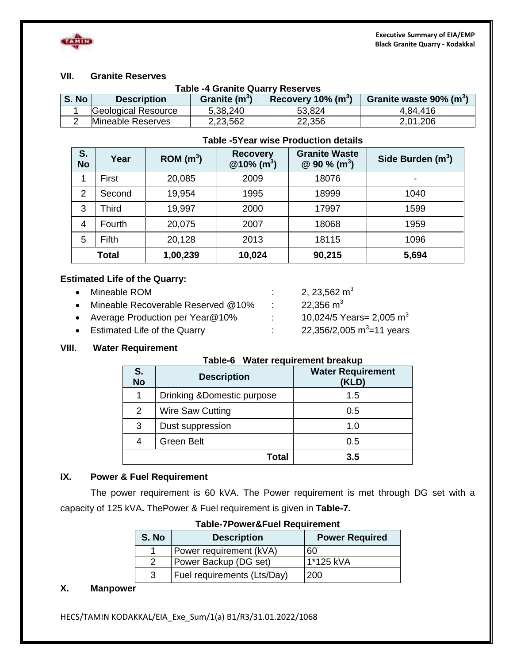

#### **VII. Granite Reserves**

|       | <b>Table -4 Granite Quarry Reserves</b>                                                                 |          |        |          |  |  |
|-------|---------------------------------------------------------------------------------------------------------|----------|--------|----------|--|--|
| S. No | Granite waste $90\%$ (m <sup>3</sup> )<br>Recovery 10% $(m^3)$<br>Granite $(m^3)$<br><b>Description</b> |          |        |          |  |  |
|       | Geological Resource                                                                                     | 5,38,240 | 53.824 | 4,84,416 |  |  |
|       | Mineable Reserves                                                                                       | 2,23,562 | 22,356 | 2,01,206 |  |  |

#### **Table -5Year wise Production details**

| S.<br><b>No</b> | Year         | ROM(m <sup>3</sup> ) | <b>Recovery</b><br>$@10\%$ (m <sup>3</sup> ) | <b>Granite Waste</b><br>$@90\%$ (m <sup>3</sup> ) | Side Burden $(m^3)$ |
|-----------------|--------------|----------------------|----------------------------------------------|---------------------------------------------------|---------------------|
|                 | First        | 20,085               | 2009                                         | 18076                                             |                     |
| $\overline{2}$  | Second       | 19,954               | 1995                                         | 18999                                             | 1040                |
| 3               | Third        | 19,997               | 2000                                         | 17997                                             | 1599                |
| 4               | Fourth       | 20,075               | 2007                                         | 18068                                             | 1959                |
| 5               | <b>Fifth</b> | 20,128               | 2013                                         | 18115                                             | 1096                |
|                 | <b>Total</b> | 1,00,239             | 10,024                                       | 90,215                                            | 5,694               |

#### **Estimated Life of the Quarry:**

| • Mineable ROM                        |                  | 2, 23,562 $m3$                       |
|---------------------------------------|------------------|--------------------------------------|
| • Mineable Recoverable Reserved @10%  | <b>The State</b> | 22,356 m <sup>3</sup>                |
| • Average Production per Year $@10\%$ |                  | 10,024/5 Years= 2,005 m <sup>3</sup> |
| • Estimated Life of the Quarry        |                  | 22,356/2,005 $m^3$ =11 years         |

#### **VIII. Water Requirement**

#### **Table-6 Water requirement breakup**

| S.<br><b>No</b> | <b>Description</b>          | <b>Water Requirement</b><br>(KLD) |
|-----------------|-----------------------------|-----------------------------------|
|                 | Drinking & Domestic purpose | 1.5                               |
| 2               | Wire Saw Cutting            | 0.5                               |
| 3               | Dust suppression            | 1.0                               |
|                 | <b>Green Belt</b>           | 0.5                               |
|                 | Total                       | 3.5                               |

#### **IX. Power & Fuel Requirement**

The power requirement is 60 kVA. The Power requirement is met through DG set with a capacity of 125 kVA**.** ThePower & Fuel requirement is given in **Table-7.**

| S. No | <b>Description</b>          | <b>Power Required</b> |  |  |  |  |
|-------|-----------------------------|-----------------------|--|--|--|--|
|       | Power requirement (kVA)     | 60                    |  |  |  |  |
| 2     | Power Backup (DG set)       | 1*125 kVA             |  |  |  |  |
| 3     | Fuel requirements (Lts/Day) | 200                   |  |  |  |  |

#### **Table-7Power&Fuel Requirement**

#### **X. Manpower**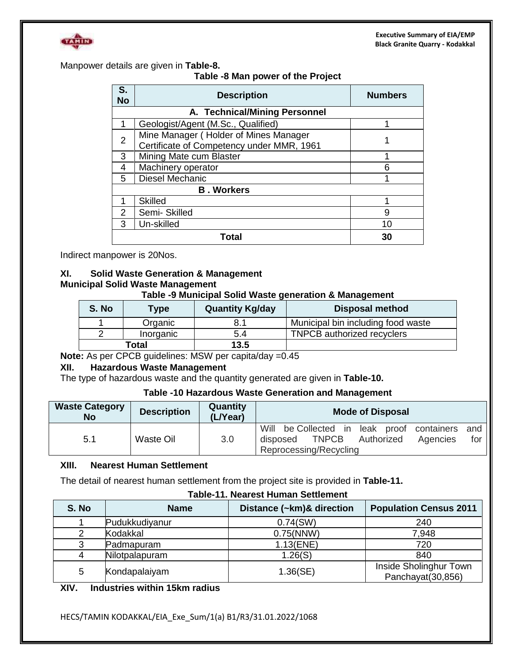

Manpower details are given in **Table-8.**

#### **Table -8 Man power of the Project**

| S.<br><b>No</b> | <b>Description</b>                                                                 | <b>Numbers</b> |  |
|-----------------|------------------------------------------------------------------------------------|----------------|--|
|                 | A. Technical/Mining Personnel                                                      |                |  |
| 1               | Geologist/Agent (M.Sc., Qualified)                                                 | 1              |  |
| 2               | Mine Manager (Holder of Mines Manager<br>Certificate of Competency under MMR, 1961 |                |  |
| 3               | Mining Mate cum Blaster                                                            |                |  |
| 4               | Machinery operator<br>6                                                            |                |  |
| 5               | Diesel Mechanic<br>1                                                               |                |  |
|                 | <b>B. Workers</b>                                                                  |                |  |
| 1               | <b>Skilled</b>                                                                     |                |  |
| 2               | Semi-Skilled                                                                       | 9              |  |
| 3               | Un-skilled                                                                         | 10             |  |
|                 | Гоtal                                                                              | 30             |  |

Indirect manpower is 20Nos.

#### **XI. Solid Waste Generation & Management Municipal Solid Waste Management**

#### **Table -9 Municipal Solid Waste generation & Management**

| S. No | <b>Type</b> | <b>Quantity Kg/day</b> | <b>Disposal method</b>             |
|-------|-------------|------------------------|------------------------------------|
|       | Organic     | 8.1                    | Municipal bin including food waste |
|       | Inorganic   | 5.4                    | <b>TNPCB</b> authorized recyclers  |
|       | Total       | 13.5                   |                                    |

Note: As per CPCB guidelines: MSW per capita/day =0.45

#### **XII. Hazardous Waste Management**

The type of hazardous waste and the quantity generated are given in **Table-10.**

#### **Table -10 Hazardous Waste Generation and Management**

| <b>Waste Category</b><br><b>No</b> | <b>Description</b> | Quantity<br>(L/Year) | <b>Mode of Disposal</b>                                                                                                                        |
|------------------------------------|--------------------|----------------------|------------------------------------------------------------------------------------------------------------------------------------------------|
| 5.1                                | Waste Oil          | 3.0                  | Will<br>be Collected in<br>leak proof containers<br>and<br><b>TNPCB</b><br>Authorized<br>for<br>Agencies<br>disposed<br>Reprocessing/Recycling |

#### **XIII. Nearest Human Settlement**

The detail of nearest human settlement from the project site is provided in **Table-11.**

#### **Table-11. Nearest Human Settlement**

| S. No | <b>Name</b>    | Distance (~km)& direction | <b>Population Census 2011</b>               |
|-------|----------------|---------------------------|---------------------------------------------|
|       | Pudukkudiyanur | $0.74$ (SW)               | 240                                         |
|       | Kodakkal       | 0.75(NNW)                 | 7,948                                       |
| 3     | Padmapuram     | $1.13$ (ENE)              | 720                                         |
| 4     | Nilotpalapuram | 1.26(S)                   | 840                                         |
| 5     | Kondapalaiyam  | 1.36(SE)                  | Inside Sholinghur Town<br>Panchayat(30,856) |

### **XIV. Industries within 15km radius**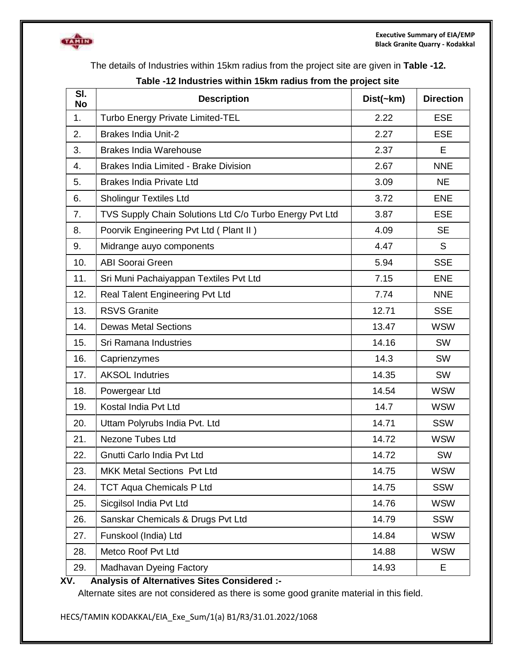

The details of Industries within 15km radius from the project site are given in **Table -12.**

| SI.<br><b>No</b> | <b>Description</b>                                      | Dist( <b>km</b> ) | <b>Direction</b> |
|------------------|---------------------------------------------------------|-------------------|------------------|
| 1.               | <b>Turbo Energy Private Limited-TEL</b>                 | 2.22              | <b>ESE</b>       |
| 2.               | <b>Brakes India Unit-2</b>                              | 2.27              | <b>ESE</b>       |
| 3.               | <b>Brakes India Warehouse</b>                           | 2.37              | E                |
| 4.               | <b>Brakes India Limited - Brake Division</b>            | 2.67              | <b>NNE</b>       |
| 5.               | <b>Brakes India Private Ltd</b>                         | 3.09              | <b>NE</b>        |
| 6.               | <b>Sholingur Textiles Ltd</b>                           | 3.72              | <b>ENE</b>       |
| 7.               | TVS Supply Chain Solutions Ltd C/o Turbo Energy Pvt Ltd | 3.87              | <b>ESE</b>       |
| 8.               | Poorvik Engineering Pvt Ltd (Plant II)                  | 4.09              | <b>SE</b>        |
| 9.               | Midrange auyo components                                | 4.47              | S                |
| 10.              | <b>ABI Soorai Green</b>                                 | 5.94              | <b>SSE</b>       |
| 11.              | Sri Muni Pachaiyappan Textiles Pvt Ltd                  | 7.15              | <b>ENE</b>       |
| 12.              | Real Talent Engineering Pvt Ltd                         | 7.74              | <b>NNE</b>       |
| 13.              | <b>RSVS Granite</b>                                     | 12.71             | <b>SSE</b>       |
| 14.              | <b>Dewas Metal Sections</b>                             | 13.47             | <b>WSW</b>       |
| 15.              | Sri Ramana Industries                                   | 14.16             | <b>SW</b>        |
| 16.              | Caprienzymes                                            | 14.3              | <b>SW</b>        |
| 17.              | <b>AKSOL Indutries</b>                                  | 14.35             | <b>SW</b>        |
| 18.              | Powergear Ltd                                           | 14.54             | <b>WSW</b>       |
| 19.              | Kostal India Pvt Ltd                                    | 14.7              | <b>WSW</b>       |
| 20.              | Uttam Polyrubs India Pvt. Ltd                           | 14.71             | <b>SSW</b>       |
| 21.              | <b>Nezone Tubes Ltd</b>                                 | 14.72             | <b>WSW</b>       |
| 22.              | Gnutti Carlo India Pvt Ltd                              | 14.72             | SW               |
| 23.              | MKK Metal Sections Pvt Ltd                              | 14.75             | <b>WSW</b>       |
| 24.              | <b>TCT Aqua Chemicals P Ltd</b>                         | 14.75             | <b>SSW</b>       |
| 25.              | Sicgilsol India Pvt Ltd                                 | 14.76             | <b>WSW</b>       |
| 26.              | Sanskar Chemicals & Drugs Pvt Ltd                       | 14.79             | <b>SSW</b>       |
| 27.              | Funskool (India) Ltd                                    | 14.84             | <b>WSW</b>       |
| 28.              | Metco Roof Pvt Ltd                                      | 14.88             | <b>WSW</b>       |
| 29.              | Madhavan Dyeing Factory                                 | 14.93             | Е                |

### **Table -12 Industries within 15km radius from the project site**

#### **XV. Analysis of Alternatives Sites Considered :-**

Alternate sites are not considered as there is some good granite material in this field.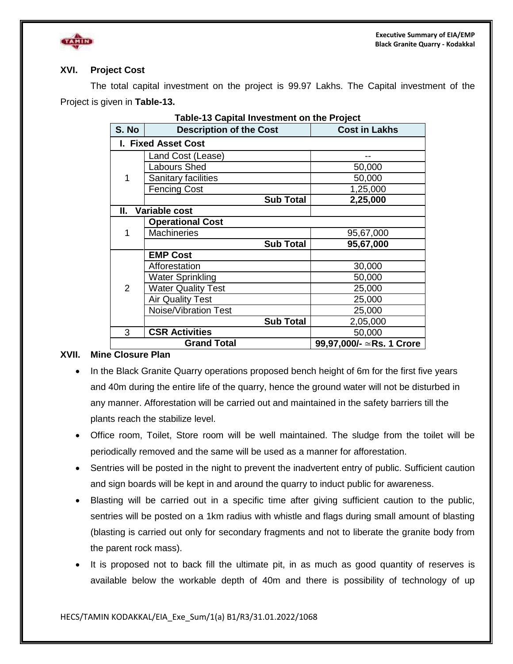

#### **XVI. Project Cost**

The total capital investment on the project is 99.97 Lakhs. The Capital investment of the Project is given in **Table-13.**

| <b>Table-13 Capital Investment on the Project</b> |                                |                          |  |  |
|---------------------------------------------------|--------------------------------|--------------------------|--|--|
| S. No                                             | <b>Description of the Cost</b> | <b>Cost in Lakhs</b>     |  |  |
|                                                   | I. Fixed Asset Cost            |                          |  |  |
|                                                   | Land Cost (Lease)              | --                       |  |  |
|                                                   | <b>Labours Shed</b>            | 50,000                   |  |  |
| 1                                                 | Sanitary facilities            | 50,000                   |  |  |
|                                                   | <b>Fencing Cost</b>            | 1,25,000                 |  |  |
|                                                   | <b>Sub Total</b>               | 2,25,000                 |  |  |
| II.                                               | Variable cost                  |                          |  |  |
|                                                   | <b>Operational Cost</b>        |                          |  |  |
| 1                                                 | <b>Machineries</b>             | 95,67,000                |  |  |
|                                                   | <b>Sub Total</b>               | 95,67,000                |  |  |
|                                                   | <b>EMP Cost</b>                |                          |  |  |
|                                                   | Afforestation                  | 30,000                   |  |  |
|                                                   | <b>Water Sprinkling</b>        | 50,000                   |  |  |
| $\overline{2}$                                    | <b>Water Quality Test</b>      | 25,000                   |  |  |
|                                                   | <b>Air Quality Test</b>        | 25,000                   |  |  |
|                                                   | Noise/Vibration Test           | 25,000                   |  |  |
|                                                   | <b>Sub Total</b>               | 2,05,000                 |  |  |
| 3                                                 | <b>CSR Activities</b>          | 50,000                   |  |  |
| <b>Grand Total</b>                                |                                | 99,97,000/- ≃Rs. 1 Crore |  |  |

#### **XVII. Mine Closure Plan**

- In the Black Granite Quarry operations proposed bench height of 6m for the first five years and 40m during the entire life of the quarry, hence the ground water will not be disturbed in any manner. Afforestation will be carried out and maintained in the safety barriers till the plants reach the stabilize level.
- Office room, Toilet, Store room will be well maintained. The sludge from the toilet will be periodically removed and the same will be used as a manner for afforestation.
- Sentries will be posted in the night to prevent the inadvertent entry of public. Sufficient caution and sign boards will be kept in and around the quarry to induct public for awareness.
- Blasting will be carried out in a specific time after giving sufficient caution to the public, sentries will be posted on a 1km radius with whistle and flags during small amount of blasting (blasting is carried out only for secondary fragments and not to liberate the granite body from the parent rock mass).
- It is proposed not to back fill the ultimate pit, in as much as good quantity of reserves is available below the workable depth of 40m and there is possibility of technology of up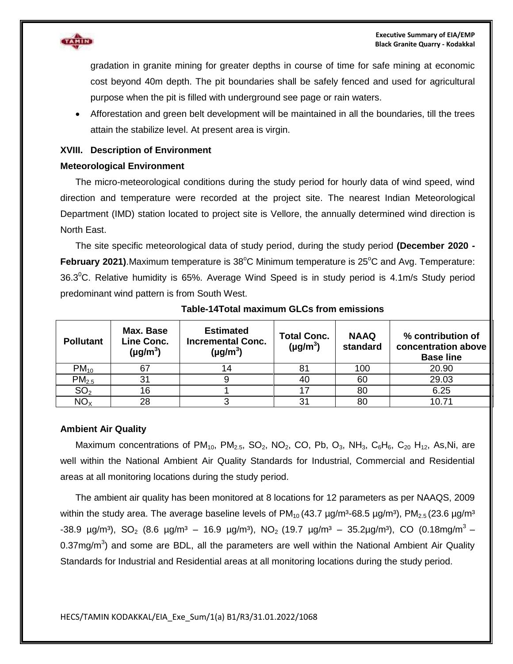

gradation in granite mining for greater depths in course of time for safe mining at economic cost beyond 40m depth. The pit boundaries shall be safely fenced and used for agricultural purpose when the pit is filled with underground see page or rain waters.

 Afforestation and green belt development will be maintained in all the boundaries, till the trees attain the stabilize level. At present area is virgin.

#### **XVIII. Description of Environment**

#### **Meteorological Environment**

The micro-meteorological conditions during the study period for hourly data of wind speed, wind direction and temperature were recorded at the project site. The nearest Indian Meteorological Department (IMD) station located to project site is Vellore, the annually determined wind direction is North East.

The site specific meteorological data of study period, during the study period **(December 2020 -** February 2021). Maximum temperature is 38°C Minimum temperature is 25°C and Avg. Temperature: 36.3<sup>o</sup>C. Relative humidity is 65%. Average Wind Speed is in study period is 4.1m/s Study period predominant wind pattern is from South West.

| <b>Pollutant</b>  | Max. Base<br>Line Conc.<br>$(\mu g/m^3)$ | <b>Estimated</b><br><b>Incremental Conc.</b><br>$(\mu g/m^3)$ | <b>Total Conc.</b><br>$(\mu g/m^3)$ | <b>NAAQ</b><br>standard | % contribution of<br>concentration above<br><b>Base line</b> |
|-------------------|------------------------------------------|---------------------------------------------------------------|-------------------------------------|-------------------------|--------------------------------------------------------------|
| $PM_{10}$         |                                          |                                                               | 81                                  | 100                     | 20.90                                                        |
| PM <sub>2.5</sub> | 31                                       |                                                               | 40                                  | 60                      | 29.03                                                        |
| SO <sub>2</sub>   | 16                                       |                                                               | -17                                 | 80                      | 6.25                                                         |
| $NO_{X}$          | 28                                       |                                                               | 31                                  | 80                      | 10.71                                                        |

#### **Table-14Total maximum GLCs from emissions**

#### **Ambient Air Quality**

Maximum concentrations of PM<sub>10</sub>, PM<sub>2.5</sub>, SO<sub>2</sub>, NO<sub>2</sub>, CO, Pb, O<sub>3</sub>, NH<sub>3</sub>, C<sub>6</sub>H<sub>6</sub>, C<sub>20</sub> H<sub>12</sub>, As,Ni, are well within the National Ambient Air Quality Standards for Industrial, Commercial and Residential areas at all monitoring locations during the study period.

The ambient air quality has been monitored at 8 locations for 12 parameters as per NAAQS, 2009 within the study area. The average baseline levels of  $PM_{10}$  (43.7  $\mu$ g/m<sup>3</sup>-68.5  $\mu$ g/m<sup>3</sup>), PM<sub>2.5</sub> (23.6  $\mu$ g/m<sup>3</sup> -38.9  $\mu$ g/m<sup>3</sup>), SO<sub>2</sub> (8.6  $\mu$ g/m<sup>3</sup> – 16.9  $\mu$ g/m<sup>3</sup>), NO<sub>2</sub> (19.7  $\mu$ g/m<sup>3</sup> – 35.2 $\mu$ g/m<sup>3</sup>), CO (0.18mg/m<sup>3</sup> – 0.37mg/m<sup>3</sup>) and some are BDL, all the parameters are well within the National Ambient Air Quality Standards for Industrial and Residential areas at all monitoring locations during the study period.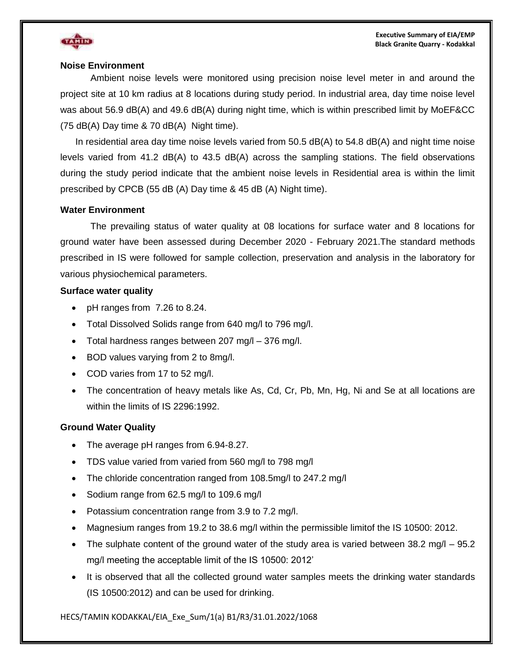

#### **Noise Environment**

Ambient noise levels were monitored using precision noise level meter in and around the project site at 10 km radius at 8 locations during study period. In industrial area, day time noise level was about 56.9 dB(A) and 49.6 dB(A) during night time, which is within prescribed limit by MoEF&CC (75 dB(A) Day time & 70 dB(A) Night time).

In residential area day time noise levels varied from 50.5 dB(A) to 54.8 dB(A) and night time noise levels varied from 41.2 dB(A) to 43.5 dB(A) across the sampling stations. The field observations during the study period indicate that the ambient noise levels in Residential area is within the limit prescribed by CPCB (55 dB (A) Day time & 45 dB (A) Night time).

#### **Water Environment**

The prevailing status of water quality at 08 locations for surface water and 8 locations for ground water have been assessed during December 2020 - February 2021.The standard methods prescribed in IS were followed for sample collection, preservation and analysis in the laboratory for various physiochemical parameters.

#### **Surface water quality**

- pH ranges from 7.26 to 8.24.
- Total Dissolved Solids range from 640 mg/l to 796 mg/l.
- Total hardness ranges between 207 mg/l 376 mg/l.
- BOD values varying from 2 to 8mg/l.
- COD varies from 17 to 52 mg/l.
- The concentration of heavy metals like As, Cd, Cr, Pb, Mn, Hg, Ni and Se at all locations are within the limits of IS 2296:1992.

#### **Ground Water Quality**

- The average pH ranges from 6.94-8.27.
- TDS value varied from varied from 560 mg/l to 798 mg/l
- The chloride concentration ranged from 108.5mg/l to 247.2 mg/l
- Sodium range from 62.5 mg/l to 109.6 mg/l
- Potassium concentration range from 3.9 to 7.2 mg/l.
- Magnesium ranges from 19.2 to 38.6 mg/l within the permissible limitof the IS 10500: 2012.
- The sulphate content of the ground water of the study area is varied between  $38.2 \text{ mg/l} 95.2$ mg/l meeting the acceptable limit of the IS 10500: 2012'
- It is observed that all the collected ground water samples meets the drinking water standards (IS 10500:2012) and can be used for drinking.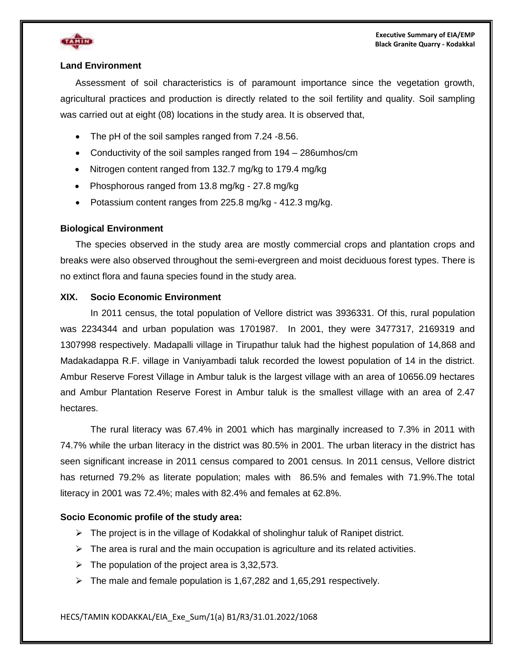



#### **Land Environment**

Assessment of soil characteristics is of paramount importance since the vegetation growth, agricultural practices and production is directly related to the soil fertility and quality. Soil sampling was carried out at eight (08) locations in the study area. It is observed that,

- The pH of the soil samples ranged from 7.24 -8.56.
- Conductivity of the soil samples ranged from 194 286umhos/cm
- Nitrogen content ranged from 132.7 mg/kg to 179.4 mg/kg
- Phosphorous ranged from 13.8 mg/kg 27.8 mg/kg
- Potassium content ranges from 225.8 mg/kg 412.3 mg/kg.

#### **Biological Environment**

The species observed in the study area are mostly commercial crops and plantation crops and breaks were also observed throughout the semi-evergreen and moist deciduous forest types. There is no extinct flora and fauna species found in the study area.

#### **XIX. Socio Economic Environment**

In 2011 census, the total population of Vellore district was 3936331. Of this, rural population was 2234344 and urban population was 1701987. In 2001, they were 3477317, 2169319 and 1307998 respectively. Madapalli village in Tirupathur taluk had the highest population of 14,868 and Madakadappa R.F. village in Vaniyambadi taluk recorded the lowest population of 14 in the district. Ambur Reserve Forest Village in Ambur taluk is the largest village with an area of 10656.09 hectares and Ambur Plantation Reserve Forest in Ambur taluk is the smallest village with an area of 2.47 hectares.

The rural literacy was 67.4% in 2001 which has marginally increased to 7.3% in 2011 with 74.7% while the urban literacy in the district was 80.5% in 2001. The urban literacy in the district has seen significant increase in 2011 census compared to 2001 census. In 2011 census, Vellore district has returned 79.2% as literate population; males with 86.5% and females with 71.9%.The total literacy in 2001 was 72.4%; males with 82.4% and females at 62.8%.

#### **Socio Economic profile of the study area:**

- $\triangleright$  The project is in the village of Kodakkal of sholinghur taluk of Ranipet district.
- $\triangleright$  The area is rural and the main occupation is agriculture and its related activities.
- $\triangleright$  The population of the project area is 3,32,573.
- $\triangleright$  The male and female population is 1,67,282 and 1,65,291 respectively.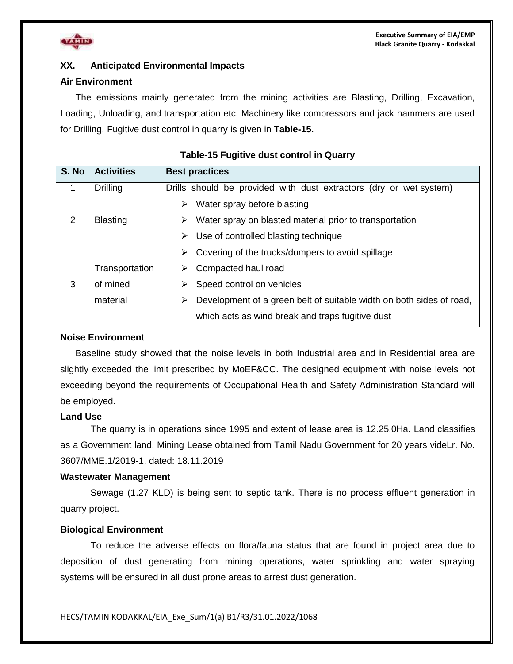

#### **XX. Anticipated Environmental Impacts**

#### **Air Environment**

The emissions mainly generated from the mining activities are Blasting, Drilling, Excavation, Loading, Unloading, and transportation etc. Machinery like compressors and jack hammers are used for Drilling. Fugitive dust control in quarry is given in **Table-15.**

| S. No | <b>Activities</b> | <b>Best practices</b>                                                     |
|-------|-------------------|---------------------------------------------------------------------------|
| 1     | Drilling          | Drills should be provided with dust extractors (dry or wet system)        |
|       |                   | Water spray before blasting<br>➤                                          |
| 2     | <b>Blasting</b>   | Water spray on blasted material prior to transportation<br>➤              |
|       |                   | $\triangleright$ Use of controlled blasting technique                     |
|       |                   | Covering of the trucks/dumpers to avoid spillage<br>➤                     |
|       | Transportation    | Compacted haul road                                                       |
| 3     | of mined          | Speed control on vehicles<br>➤                                            |
|       | material          | Development of a green belt of suitable width on both sides of road,<br>➤ |
|       |                   | which acts as wind break and traps fugitive dust                          |

#### **Table-15 Fugitive dust control in Quarry**

#### **Noise Environment**

Baseline study showed that the noise levels in both Industrial area and in Residential area are slightly exceeded the limit prescribed by MoEF&CC. The designed equipment with noise levels not exceeding beyond the requirements of Occupational Health and Safety Administration Standard will be employed.

#### **Land Use**

The quarry is in operations since 1995 and extent of lease area is 12.25.0Ha. Land classifies as a Government land, Mining Lease obtained from Tamil Nadu Government for 20 years videLr. No. 3607/MME.1/2019-1, dated: 18.11.2019

#### **Wastewater Management**

Sewage (1.27 KLD) is being sent to septic tank. There is no process effluent generation in quarry project.

#### **Biological Environment**

To reduce the adverse effects on flora/fauna status that are found in project area due to deposition of dust generating from mining operations, water sprinkling and water spraying systems will be ensured in all dust prone areas to arrest dust generation.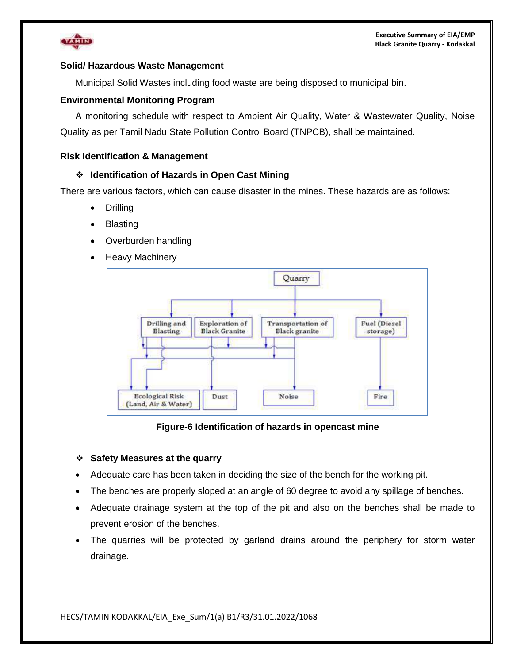

#### **Solid/ Hazardous Waste Management**

Municipal Solid Wastes including food waste are being disposed to municipal bin.

#### **Environmental Monitoring Program**

A monitoring schedule with respect to Ambient Air Quality, Water & Wastewater Quality, Noise Quality as per Tamil Nadu State Pollution Control Board (TNPCB), shall be maintained.

#### **Risk Identification & Management**

#### **Identification of Hazards in Open Cast Mining**

There are various factors, which can cause disaster in the mines. These hazards are as follows:

- Drilling
- Blasting
- Overburden handling
- Heavy Machinery



#### **Figure-6 Identification of hazards in opencast mine**

#### **Safety Measures at the quarry**

- Adequate care has been taken in deciding the size of the bench for the working pit.
- The benches are properly sloped at an angle of 60 degree to avoid any spillage of benches.
- Adequate drainage system at the top of the pit and also on the benches shall be made to prevent erosion of the benches.
- The quarries will be protected by garland drains around the periphery for storm water drainage.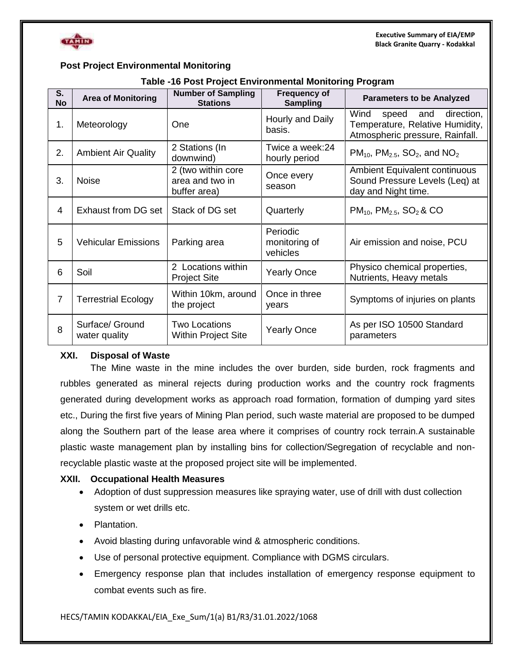



#### **Post Project Environmental Monitoring**

| S <sub>1</sub> |                                  | <b>Number of Sampling</b>                             | <b>Frequency of</b>                   |                                                                                                    |  |  |
|----------------|----------------------------------|-------------------------------------------------------|---------------------------------------|----------------------------------------------------------------------------------------------------|--|--|
| <b>No</b>      | <b>Area of Monitoring</b>        | <b>Stations</b>                                       | <b>Sampling</b>                       | <b>Parameters to be Analyzed</b>                                                                   |  |  |
| 1.             | Meteorology                      | <b>One</b>                                            | Hourly and Daily<br>basis.            | Wind<br>speed and direction,<br>Temperature, Relative Humidity,<br>Atmospheric pressure, Rainfall. |  |  |
| 2.             | <b>Ambient Air Quality</b>       | 2 Stations (In<br>downwind)                           | Twice a week:24<br>hourly period      | $PM_{10}$ , $PM_{2.5}$ , SO <sub>2</sub> , and NO <sub>2</sub>                                     |  |  |
| 3.             | <b>Noise</b>                     | 2 (two within core<br>area and two in<br>buffer area) | Once every<br>season                  | Ambient Equivalent continuous<br>Sound Pressure Levels (Leq) at<br>day and Night time.             |  |  |
| 4              | <b>Exhaust from DG set</b>       | Stack of DG set                                       | Quarterly                             | $PM_{10}$ , $PM_{2.5}$ , $SO_2$ & CO                                                               |  |  |
| 5              | <b>Vehicular Emissions</b>       | Parking area                                          | Periodic<br>monitoring of<br>vehicles | Air emission and noise, PCU                                                                        |  |  |
| 6              | Soil                             | 2 Locations within<br><b>Project Site</b>             | <b>Yearly Once</b>                    | Physico chemical properties,<br>Nutrients, Heavy metals                                            |  |  |
| $\overline{7}$ | <b>Terrestrial Ecology</b>       | Within 10km, around<br>the project                    | Once in three<br>years                | Symptoms of injuries on plants                                                                     |  |  |
| 8              | Surface/ Ground<br>water quality | <b>Two Locations</b><br><b>Within Project Site</b>    | <b>Yearly Once</b>                    | As per ISO 10500 Standard<br>parameters                                                            |  |  |

#### **XXI. Disposal of Waste**

The Mine waste in the mine includes the over burden, side burden, rock fragments and rubbles generated as mineral rejects during production works and the country rock fragments generated during development works as approach road formation, formation of dumping yard sites etc., During the first five years of Mining Plan period, such waste material are proposed to be dumped along the Southern part of the lease area where it comprises of country rock terrain.A sustainable plastic waste management plan by installing bins for collection/Segregation of recyclable and nonrecyclable plastic waste at the proposed project site will be implemented.

#### **XXII. Occupational Health Measures**

- Adoption of dust suppression measures like spraying water, use of drill with dust collection system or wet drills etc.
- Plantation.
- Avoid blasting during unfavorable wind & atmospheric conditions.
- Use of personal protective equipment. Compliance with DGMS circulars.
- Emergency response plan that includes installation of emergency response equipment to combat events such as fire.